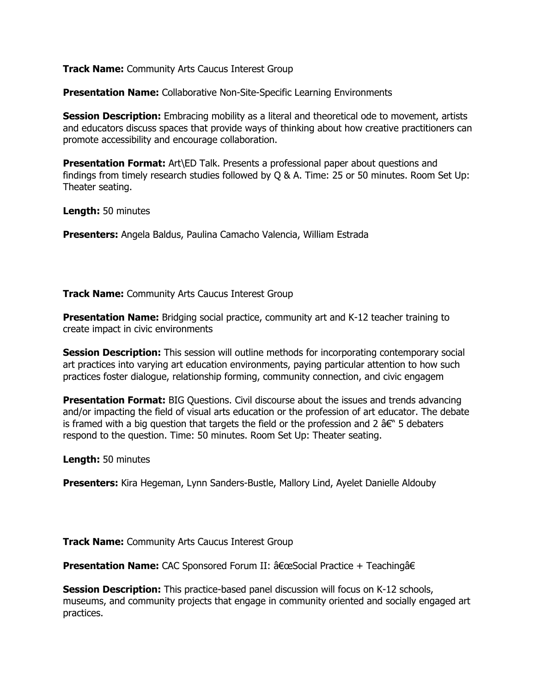**Presentation Name:** Collaborative Non-Site-Specific Learning Environments

**Session Description:** Embracing mobility as a literal and theoretical ode to movement, artists and educators discuss spaces that provide ways of thinking about how creative practitioners can promote accessibility and encourage collaboration.

**Presentation Format:** Art\ED Talk. Presents a professional paper about questions and findings from timely research studies followed by Q & A. Time: 25 or 50 minutes. Room Set Up: Theater seating.

**Length:** 50 minutes

**Presenters:** Angela Baldus, Paulina Camacho Valencia, William Estrada

**Track Name:** Community Arts Caucus Interest Group

**Presentation Name:** Bridging social practice, community art and K-12 teacher training to create impact in civic environments

**Session Description:** This session will outline methods for incorporating contemporary social art practices into varying art education environments, paying particular attention to how such practices foster dialogue, relationship forming, community connection, and civic engagem

**Presentation Format:** BIG Questions. Civil discourse about the issues and trends advancing and/or impacting the field of visual arts education or the profession of art educator. The debate is framed with a big question that targets the field or the profession and 2  $\hat{a}\in$ " 5 debaters respond to the question. Time: 50 minutes. Room Set Up: Theater seating.

**Length:** 50 minutes

**Presenters:** Kira Hegeman, Lynn Sanders-Bustle, Mallory Lind, Ayelet Danielle Aldouby

**Track Name:** Community Arts Caucus Interest Group

**Presentation Name:** CAC Sponsored Forum II:  $\hat{a} \in \alpha$  Social Practice + Teachinga $\hat{a} \in$ 

**Session Description:** This practice-based panel discussion will focus on K-12 schools, museums, and community projects that engage in community oriented and socially engaged art practices.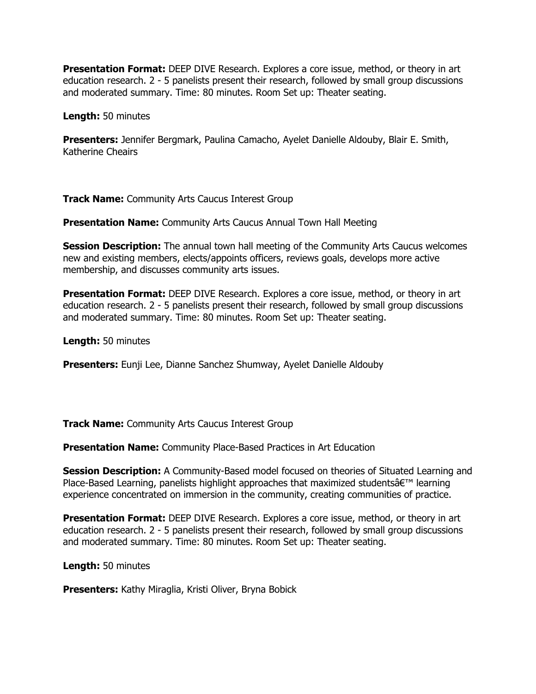**Presentation Format:** DEEP DIVE Research. Explores a core issue, method, or theory in art education research. 2 - 5 panelists present their research, followed by small group discussions and moderated summary. Time: 80 minutes. Room Set up: Theater seating.

**Length:** 50 minutes

**Presenters:** Jennifer Bergmark, Paulina Camacho, Ayelet Danielle Aldouby, Blair E. Smith, Katherine Cheairs

**Track Name:** Community Arts Caucus Interest Group

**Presentation Name:** Community Arts Caucus Annual Town Hall Meeting

**Session Description:** The annual town hall meeting of the Community Arts Caucus welcomes new and existing members, elects/appoints officers, reviews goals, develops more active membership, and discusses community arts issues.

**Presentation Format:** DEEP DIVE Research. Explores a core issue, method, or theory in art education research. 2 - 5 panelists present their research, followed by small group discussions and moderated summary. Time: 80 minutes. Room Set up: Theater seating.

**Length:** 50 minutes

**Presenters:** Eunji Lee, Dianne Sanchez Shumway, Ayelet Danielle Aldouby

**Track Name:** Community Arts Caucus Interest Group

**Presentation Name:** Community Place-Based Practices in Art Education

**Session Description:** A Community-Based model focused on theories of Situated Learning and Place-Based Learning, panelists highlight approaches that maximized students $\hat{\mathbf{a}} \in \mathbb{R}^m$  learning experience concentrated on immersion in the community, creating communities of practice.

**Presentation Format:** DEEP DIVE Research. Explores a core issue, method, or theory in art education research. 2 - 5 panelists present their research, followed by small group discussions and moderated summary. Time: 80 minutes. Room Set up: Theater seating.

**Length:** 50 minutes

**Presenters:** Kathy Miraglia, Kristi Oliver, Bryna Bobick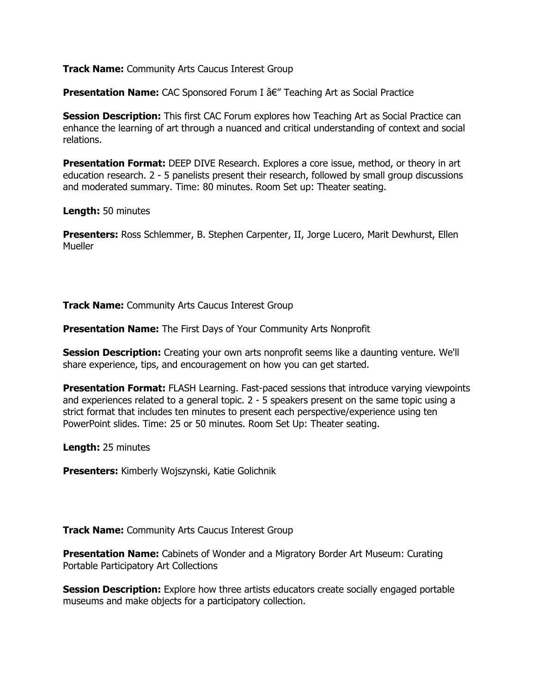**Presentation Name:** CAC Sponsored Forum I â€" Teaching Art as Social Practice

**Session Description:** This first CAC Forum explores how Teaching Art as Social Practice can enhance the learning of art through a nuanced and critical understanding of context and social relations.

**Presentation Format:** DEEP DIVE Research. Explores a core issue, method, or theory in art education research. 2 - 5 panelists present their research, followed by small group discussions and moderated summary. Time: 80 minutes. Room Set up: Theater seating.

**Length:** 50 minutes

**Presenters:** Ross Schlemmer, B. Stephen Carpenter, II, Jorge Lucero, Marit Dewhurst, Ellen **Mueller** 

**Track Name:** Community Arts Caucus Interest Group

**Presentation Name:** The First Days of Your Community Arts Nonprofit

**Session Description:** Creating your own arts nonprofit seems like a daunting venture. We'll share experience, tips, and encouragement on how you can get started.

**Presentation Format:** FLASH Learning. Fast-paced sessions that introduce varying viewpoints and experiences related to a general topic. 2 - 5 speakers present on the same topic using a strict format that includes ten minutes to present each perspective/experience using ten PowerPoint slides. Time: 25 or 50 minutes. Room Set Up: Theater seating.

**Length:** 25 minutes

**Presenters:** Kimberly Wojszynski, Katie Golichnik

**Track Name:** Community Arts Caucus Interest Group

**Presentation Name:** Cabinets of Wonder and a Migratory Border Art Museum: Curating Portable Participatory Art Collections

**Session Description:** Explore how three artists educators create socially engaged portable museums and make objects for a participatory collection.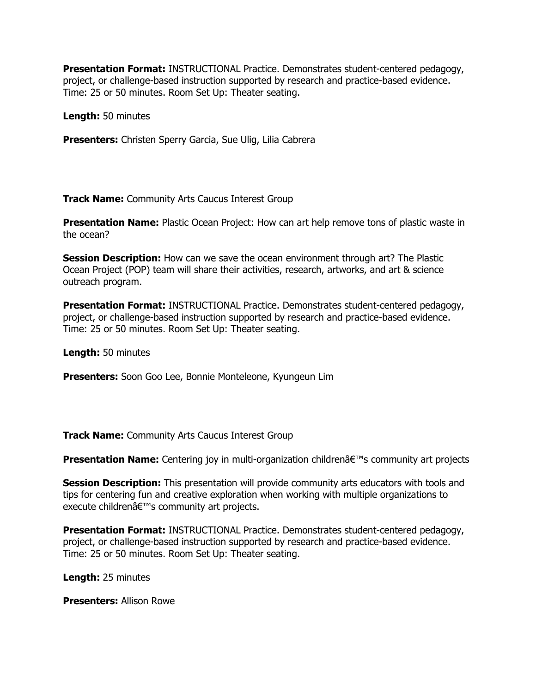**Presentation Format:** INSTRUCTIONAL Practice. Demonstrates student-centered pedagogy, project, or challenge-based instruction supported by research and practice-based evidence. Time: 25 or 50 minutes. Room Set Up: Theater seating.

**Length:** 50 minutes

**Presenters:** Christen Sperry Garcia, Sue Ulig, Lilia Cabrera

**Track Name:** Community Arts Caucus Interest Group

**Presentation Name:** Plastic Ocean Project: How can art help remove tons of plastic waste in the ocean?

**Session Description:** How can we save the ocean environment through art? The Plastic Ocean Project (POP) team will share their activities, research, artworks, and art & science outreach program.

**Presentation Format:** INSTRUCTIONAL Practice. Demonstrates student-centered pedagogy, project, or challenge-based instruction supported by research and practice-based evidence. Time: 25 or 50 minutes. Room Set Up: Theater seating.

**Length:** 50 minutes

**Presenters:** Soon Goo Lee, Bonnie Monteleone, Kyungeun Lim

**Track Name:** Community Arts Caucus Interest Group

**Presentation Name:** Centering joy in multi-organization children's community art projects

**Session Description:** This presentation will provide community arts educators with tools and tips for centering fun and creative exploration when working with multiple organizations to execute childrenâ€<sup>™</sup>s community art projects.

**Presentation Format:** INSTRUCTIONAL Practice. Demonstrates student-centered pedagogy, project, or challenge-based instruction supported by research and practice-based evidence. Time: 25 or 50 minutes. Room Set Up: Theater seating.

**Length:** 25 minutes

**Presenters:** Allison Rowe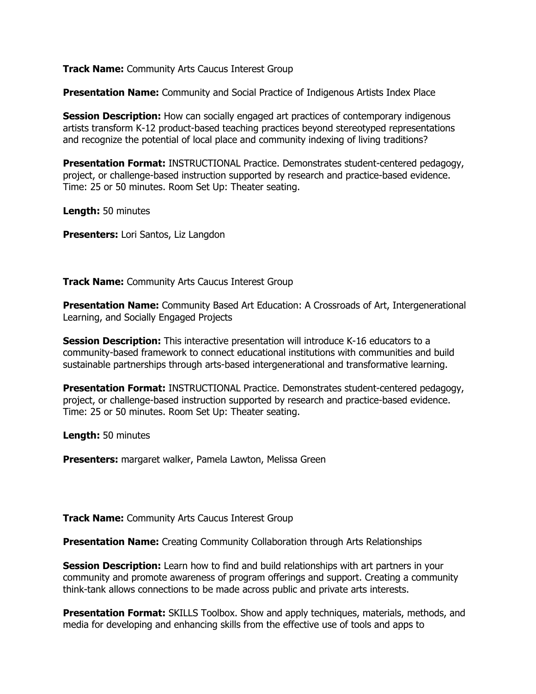**Presentation Name:** Community and Social Practice of Indigenous Artists Index Place

**Session Description:** How can socially engaged art practices of contemporary indigenous artists transform K-12 product-based teaching practices beyond stereotyped representations and recognize the potential of local place and community indexing of living traditions?

**Presentation Format:** INSTRUCTIONAL Practice. Demonstrates student-centered pedagogy, project, or challenge-based instruction supported by research and practice-based evidence. Time: 25 or 50 minutes. Room Set Up: Theater seating.

**Length:** 50 minutes

**Presenters:** Lori Santos, Liz Langdon

**Track Name:** Community Arts Caucus Interest Group

**Presentation Name:** Community Based Art Education: A Crossroads of Art, Intergenerational Learning, and Socially Engaged Projects

**Session Description:** This interactive presentation will introduce K-16 educators to a community-based framework to connect educational institutions with communities and build sustainable partnerships through arts-based intergenerational and transformative learning.

**Presentation Format:** INSTRUCTIONAL Practice. Demonstrates student-centered pedagogy, project, or challenge-based instruction supported by research and practice-based evidence. Time: 25 or 50 minutes. Room Set Up: Theater seating.

**Length:** 50 minutes

**Presenters:** margaret walker, Pamela Lawton, Melissa Green

**Track Name:** Community Arts Caucus Interest Group

**Presentation Name:** Creating Community Collaboration through Arts Relationships

**Session Description:** Learn how to find and build relationships with art partners in your community and promote awareness of program offerings and support. Creating a community think-tank allows connections to be made across public and private arts interests.

**Presentation Format:** SKILLS Toolbox. Show and apply techniques, materials, methods, and media for developing and enhancing skills from the effective use of tools and apps to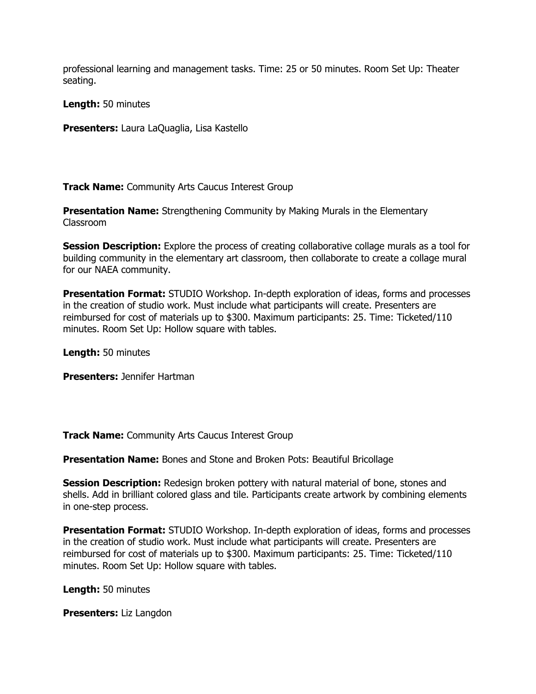professional learning and management tasks. Time: 25 or 50 minutes. Room Set Up: Theater seating.

**Length:** 50 minutes

**Presenters:** Laura LaQuaglia, Lisa Kastello

**Track Name:** Community Arts Caucus Interest Group

**Presentation Name:** Strengthening Community by Making Murals in the Elementary Classroom

**Session Description:** Explore the process of creating collaborative collage murals as a tool for building community in the elementary art classroom, then collaborate to create a collage mural for our NAEA community.

**Presentation Format:** STUDIO Workshop. In-depth exploration of ideas, forms and processes in the creation of studio work. Must include what participants will create. Presenters are reimbursed for cost of materials up to \$300. Maximum participants: 25. Time: Ticketed/110 minutes. Room Set Up: Hollow square with tables.

**Length:** 50 minutes

**Presenters:** Jennifer Hartman

**Track Name:** Community Arts Caucus Interest Group

**Presentation Name:** Bones and Stone and Broken Pots: Beautiful Bricollage

**Session Description:** Redesign broken pottery with natural material of bone, stones and shells. Add in brilliant colored glass and tile. Participants create artwork by combining elements in one-step process.

**Presentation Format:** STUDIO Workshop. In-depth exploration of ideas, forms and processes in the creation of studio work. Must include what participants will create. Presenters are reimbursed for cost of materials up to \$300. Maximum participants: 25. Time: Ticketed/110 minutes. Room Set Up: Hollow square with tables.

**Length:** 50 minutes

**Presenters:** Liz Langdon